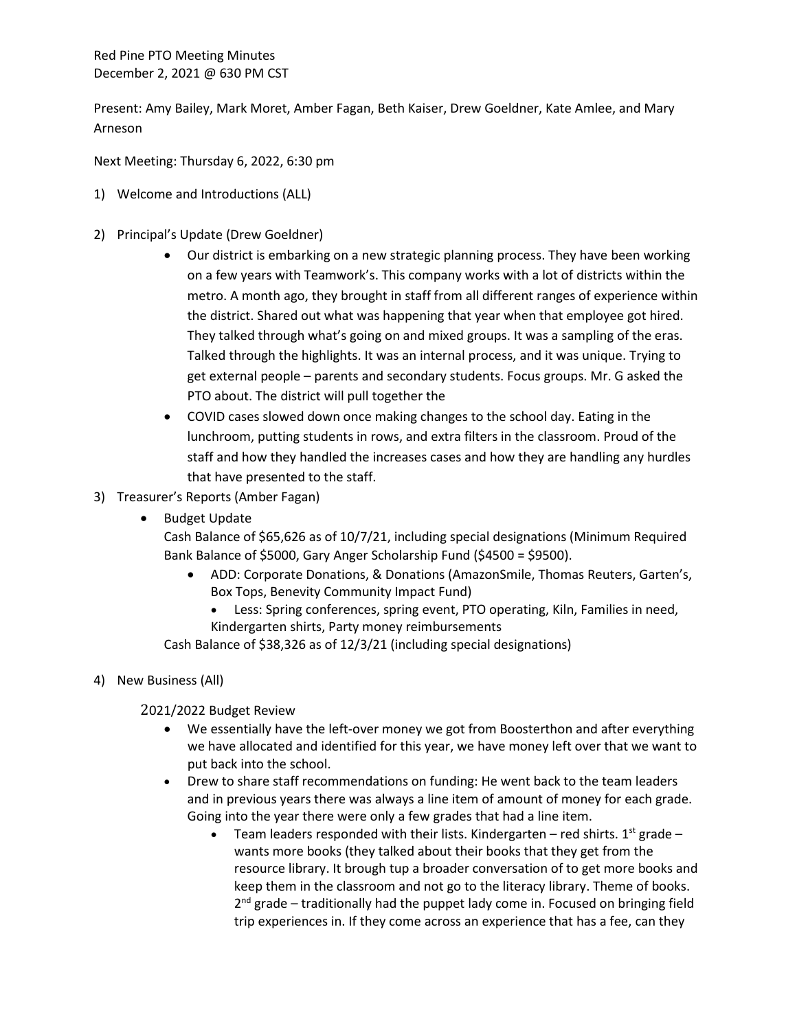Red Pine PTO Meeting Minutes December 2, 2021 @ 630 PM CST

Present: Amy Bailey, Mark Moret, Amber Fagan, Beth Kaiser, Drew Goeldner, Kate Amlee, and Mary Arneson

Next Meeting: Thursday 6, 2022, 6:30 pm

- 1) Welcome and Introductions (ALL)
- 2) Principal's Update (Drew Goeldner)
	- Our district is embarking on a new strategic planning process. They have been working on a few years with Teamwork's. This company works with a lot of districts within the metro. A month ago, they brought in staff from all different ranges of experience within the district. Shared out what was happening that year when that employee got hired. They talked through what's going on and mixed groups. It was a sampling of the eras. Talked through the highlights. It was an internal process, and it was unique. Trying to get external people – parents and secondary students. Focus groups. Mr. G asked the PTO about. The district will pull together the
	- COVID cases slowed down once making changes to the school day. Eating in the lunchroom, putting students in rows, and extra filters in the classroom. Proud of the staff and how they handled the increases cases and how they are handling any hurdles that have presented to the staff.
- 3) Treasurer's Reports (Amber Fagan)
	- Budget Update

Cash Balance of \$65,626 as of 10/7/21, including special designations (Minimum Required Bank Balance of \$5000, Gary Anger Scholarship Fund (\$4500 = \$9500).

- ADD: Corporate Donations, & Donations (AmazonSmile, Thomas Reuters, Garten's, Box Tops, Benevity Community Impact Fund)
	- Less: Spring conferences, spring event, PTO operating, Kiln, Families in need, Kindergarten shirts, Party money reimbursements

Cash Balance of \$38,326 as of 12/3/21 (including special designations)

4) New Business (All)

2021/2022 Budget Review

- We essentially have the left-over money we got from Boosterthon and after everything we have allocated and identified for this year, we have money left over that we want to put back into the school.
- Drew to share staff recommendations on funding: He went back to the team leaders and in previous years there was always a line item of amount of money for each grade. Going into the year there were only a few grades that had a line item.
	- Team leaders responded with their lists. Kindergarten red shirts.  $1^{st}$  grade wants more books (they talked about their books that they get from the resource library. It brough tup a broader conversation of to get more books and keep them in the classroom and not go to the literacy library. Theme of books.  $2<sup>nd</sup>$  grade – traditionally had the puppet lady come in. Focused on bringing field trip experiences in. If they come across an experience that has a fee, can they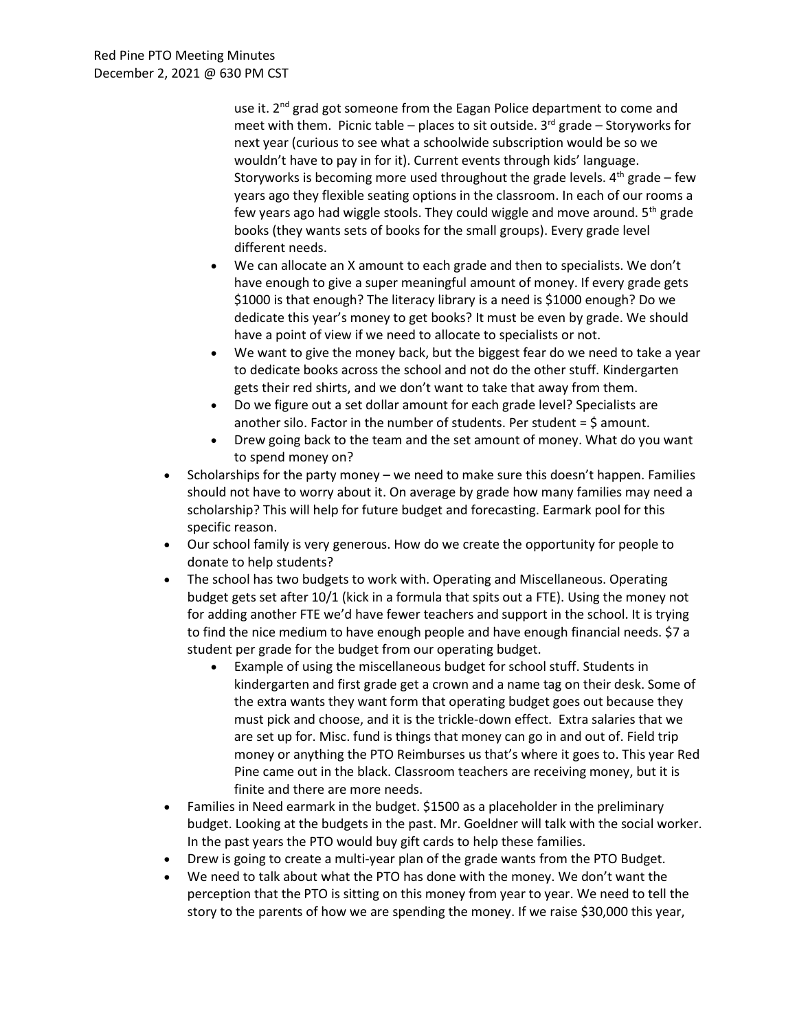use it. 2<sup>nd</sup> grad got someone from the Eagan Police department to come and meet with them. Picnic table – places to sit outside.  $3<sup>rd</sup>$  grade – Storyworks for next year (curious to see what a schoolwide subscription would be so we wouldn't have to pay in for it). Current events through kids' language. Storyworks is becoming more used throughout the grade levels.  $4<sup>th</sup>$  grade – few years ago they flexible seating options in the classroom. In each of our rooms a few years ago had wiggle stools. They could wiggle and move around.  $5<sup>th</sup>$  grade books (they wants sets of books for the small groups). Every grade level different needs.

- We can allocate an X amount to each grade and then to specialists. We don't have enough to give a super meaningful amount of money. If every grade gets \$1000 is that enough? The literacy library is a need is \$1000 enough? Do we dedicate this year's money to get books? It must be even by grade. We should have a point of view if we need to allocate to specialists or not.
- We want to give the money back, but the biggest fear do we need to take a year to dedicate books across the school and not do the other stuff. Kindergarten gets their red shirts, and we don't want to take that away from them.
- Do we figure out a set dollar amount for each grade level? Specialists are another silo. Factor in the number of students. Per student  $=$  \$ amount.
- Drew going back to the team and the set amount of money. What do you want to spend money on?
- Scholarships for the party money we need to make sure this doesn't happen. Families should not have to worry about it. On average by grade how many families may need a scholarship? This will help for future budget and forecasting. Earmark pool for this specific reason.
- Our school family is very generous. How do we create the opportunity for people to donate to help students?
- The school has two budgets to work with. Operating and Miscellaneous. Operating budget gets set after 10/1 (kick in a formula that spits out a FTE). Using the money not for adding another FTE we'd have fewer teachers and support in the school. It is trying to find the nice medium to have enough people and have enough financial needs. \$7 a student per grade for the budget from our operating budget.
	- Example of using the miscellaneous budget for school stuff. Students in kindergarten and first grade get a crown and a name tag on their desk. Some of the extra wants they want form that operating budget goes out because they must pick and choose, and it is the trickle-down effect. Extra salaries that we are set up for. Misc. fund is things that money can go in and out of. Field trip money or anything the PTO Reimburses us that's where it goes to. This year Red Pine came out in the black. Classroom teachers are receiving money, but it is finite and there are more needs.
- Families in Need earmark in the budget. \$1500 as a placeholder in the preliminary budget. Looking at the budgets in the past. Mr. Goeldner will talk with the social worker. In the past years the PTO would buy gift cards to help these families.
- Drew is going to create a multi-year plan of the grade wants from the PTO Budget.
- We need to talk about what the PTO has done with the money. We don't want the perception that the PTO is sitting on this money from year to year. We need to tell the story to the parents of how we are spending the money. If we raise \$30,000 this year,